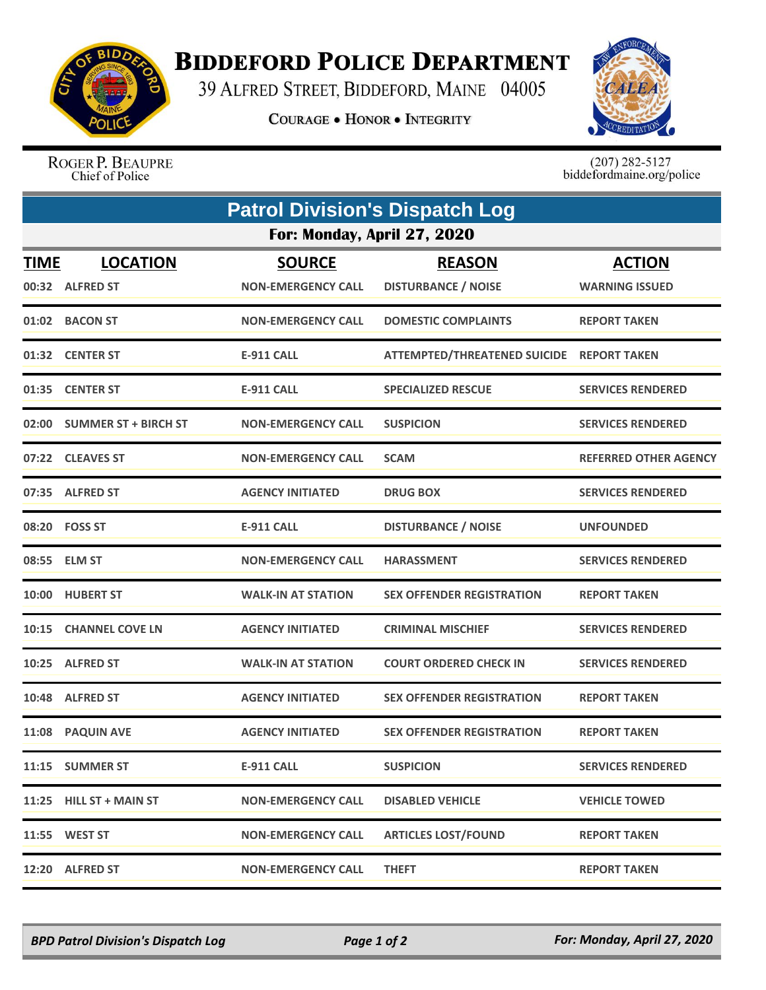

## **BIDDEFORD POLICE DEPARTMENT**

39 ALFRED STREET, BIDDEFORD, MAINE 04005

**COURAGE . HONOR . INTEGRITY** 



ROGER P. BEAUPRE Chief of Police

 $(207)$  282-5127<br>biddefordmaine.org/police

|                             | <b>Patrol Division's Dispatch Log</b> |                                            |                                             |                                        |  |  |  |
|-----------------------------|---------------------------------------|--------------------------------------------|---------------------------------------------|----------------------------------------|--|--|--|
| For: Monday, April 27, 2020 |                                       |                                            |                                             |                                        |  |  |  |
| <b>TIME</b>                 | <b>LOCATION</b><br>00:32 ALFRED ST    | <b>SOURCE</b><br><b>NON-EMERGENCY CALL</b> | <b>REASON</b><br><b>DISTURBANCE / NOISE</b> | <b>ACTION</b><br><b>WARNING ISSUED</b> |  |  |  |
| 01:02                       | <b>BACON ST</b>                       | <b>NON-EMERGENCY CALL</b>                  | <b>DOMESTIC COMPLAINTS</b>                  | <b>REPORT TAKEN</b>                    |  |  |  |
|                             | 01:32 CENTER ST                       | <b>E-911 CALL</b>                          | ATTEMPTED/THREATENED SUICIDE REPORT TAKEN   |                                        |  |  |  |
|                             | 01:35 CENTER ST                       | <b>E-911 CALL</b>                          | <b>SPECIALIZED RESCUE</b>                   | <b>SERVICES RENDERED</b>               |  |  |  |
|                             | 02:00 SUMMER ST + BIRCH ST            | <b>NON-EMERGENCY CALL</b>                  | <b>SUSPICION</b>                            | <b>SERVICES RENDERED</b>               |  |  |  |
|                             | 07:22 CLEAVES ST                      | <b>NON-EMERGENCY CALL</b>                  | <b>SCAM</b>                                 | <b>REFERRED OTHER AGENCY</b>           |  |  |  |
|                             | 07:35 ALFRED ST                       | <b>AGENCY INITIATED</b>                    | <b>DRUG BOX</b>                             | <b>SERVICES RENDERED</b>               |  |  |  |
|                             | 08:20 FOSS ST                         | <b>E-911 CALL</b>                          | <b>DISTURBANCE / NOISE</b>                  | <b>UNFOUNDED</b>                       |  |  |  |
|                             | 08:55 ELM ST                          | <b>NON-EMERGENCY CALL</b>                  | <b>HARASSMENT</b>                           | <b>SERVICES RENDERED</b>               |  |  |  |
|                             | 10:00 HUBERT ST                       | <b>WALK-IN AT STATION</b>                  | <b>SEX OFFENDER REGISTRATION</b>            | <b>REPORT TAKEN</b>                    |  |  |  |
|                             | 10:15 CHANNEL COVE LN                 | <b>AGENCY INITIATED</b>                    | <b>CRIMINAL MISCHIEF</b>                    | <b>SERVICES RENDERED</b>               |  |  |  |
| 10:25                       | <b>ALFRED ST</b>                      | <b>WALK-IN AT STATION</b>                  | <b>COURT ORDERED CHECK IN</b>               | <b>SERVICES RENDERED</b>               |  |  |  |
|                             | 10:48 ALFRED ST                       | <b>AGENCY INITIATED</b>                    | <b>SEX OFFENDER REGISTRATION</b>            | <b>REPORT TAKEN</b>                    |  |  |  |
|                             | 11:08 PAQUIN AVE                      | <b>AGENCY INITIATED</b>                    | <b>SEX OFFENDER REGISTRATION</b>            | <b>REPORT TAKEN</b>                    |  |  |  |
|                             | 11:15 SUMMER ST                       | E-911 CALL                                 | <b>SUSPICION</b>                            | <b>SERVICES RENDERED</b>               |  |  |  |
|                             | 11:25 HILL ST + MAIN ST               | <b>NON-EMERGENCY CALL</b>                  | <b>DISABLED VEHICLE</b>                     | <b>VEHICLE TOWED</b>                   |  |  |  |
|                             | 11:55 WEST ST                         | <b>NON-EMERGENCY CALL</b>                  | <b>ARTICLES LOST/FOUND</b>                  | <b>REPORT TAKEN</b>                    |  |  |  |
|                             | 12:20 ALFRED ST                       | <b>NON-EMERGENCY CALL</b>                  | <b>THEFT</b>                                | <b>REPORT TAKEN</b>                    |  |  |  |